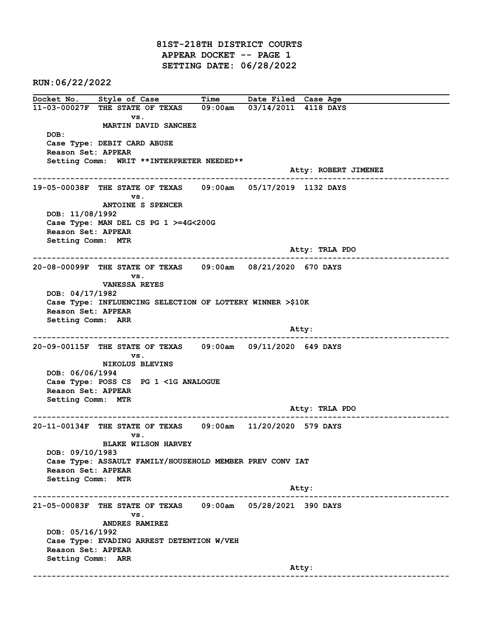81ST-218TH DISTRICT COURTS APPEAR DOCKET -- PAGE 1 SETTING DATE: 06/28/2022

RUN:06/22/2022

Docket No. Style of Case Time Date Filed Case Age 11-03-00027F THE STATE OF TEXAS 09:00am 03/14/2011 4118 DAYS vs. MARTIN DAVID SANCHEZ DOB: Case Type: DEBIT CARD ABUSE Reason Set: APPEAR Setting Comm: WRIT \*\*INTERPRETER NEEDED\*\* Atty: ROBERT JIMENEZ ------------------------------------------------------------------------------------------------------------------------ 19-05-00038F THE STATE OF TEXAS 09:00am 05/17/2019 1132 DAYS vs. ANTOINE S SPENCER DOB: 11/08/1992 Case Type: MAN DEL CS PG 1 >=4G<200G Reason Set: APPEAR Setting Comm: MTR Atty: TRLA PDO ------------------------------------------------------------------------------------------------------------------------ 20-08-00099F THE STATE OF TEXAS 09:00am 08/21/2020 670 DAYS vs. VANESSA REYES DOB: 04/17/1982 Case Type: INFLUENCING SELECTION OF LOTTERY WINNER >\$10K Reason Set: APPEAR Setting Comm: ARR and the control of the control of the control of the control of the control of the control of the control of the control of the control of the control of the control of the control of the control of the control of the cont ------------------------------------------------------------------------------------------------------------------------ 20-09-00115F THE STATE OF TEXAS 09:00am 09/11/2020 649 DAYS vs. NIKOLUS BLEVINS DOB: 06/06/1994 Case Type: POSS CS PG 1 <1G ANALOGUE Reason Set: APPEAR Setting Comm: MTR Atty: TRLA PDO ------------------------------------------------------------------------------------------------------------------------ 20-11-00134F THE STATE OF TEXAS 09:00am 11/20/2020 579 DAYS vs. BLAKE WILSON HARVEY DOB: 09/10/1983 Case Type: ASSAULT FAMILY/HOUSEHOLD MEMBER PREV CONV IAT Reason Set: APPEAR Setting Comm: MTR example of the contract of the contract of the contract of the contract of the contract of the contract of the contract of the contract of the contract of the contract of the contract of the contract of the contract of the ------------------------------------------------------------------------------------------------------------------------ 21-05-00083F THE STATE OF TEXAS 09:00am 05/28/2021 390 DAYS vs. ANDRES RAMIREZ DOB: 05/16/1992 Case Type: EVADING ARREST DETENTION W/VEH Reason Set: APPEAR Setting Comm: ARR example of the contract of the contract of the contract of the contract of the contract of the contract of the contract of the contract of the contract of the contract of the contract of the contract of the contract of the ------------------------------------------------------------------------------------------------------------------------